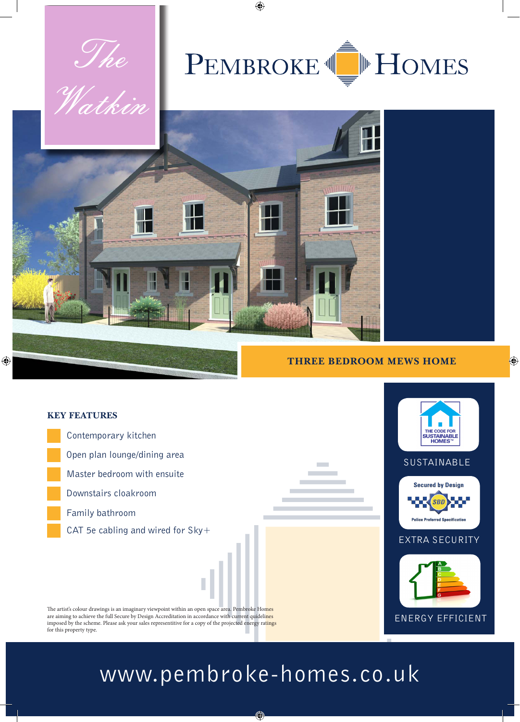

## **THREE BEDROOM MEWS HOME**

 $\bigoplus$ 



## www.pembroke-homes.co.uk

⊕